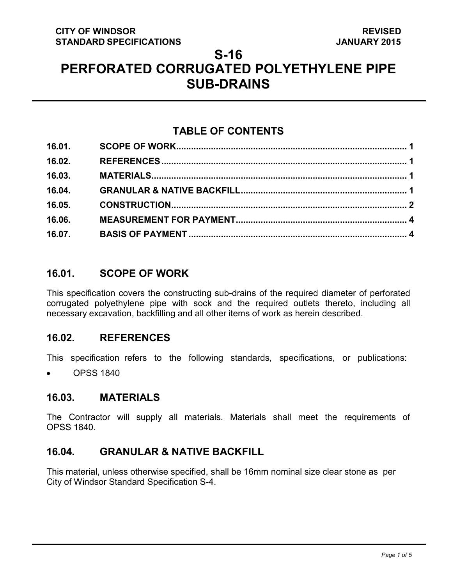# **S-16**

# **PERFORATED CORRUGATED POLYETHYLENE PIPE SUB-DRAINS**

# **TABLE OF CONTENTS**

| 16.04. |  |
|--------|--|
| 16.05. |  |
| 16.06. |  |
|        |  |

### <span id="page-0-3"></span>**16.01. SCOPE OF WORK**

This specification covers the constructing sub-drains of the required diameter of perforated corrugated polyethylene pipe with sock and the required outlets thereto, including all necessary excavation, backfilling and all other items of work as herein described.

### <span id="page-0-0"></span>**16.02. REFERENCES**

This specification refers to the following standards, specifications, or publications:

• OPSS 1840

### <span id="page-0-1"></span>**16.03. MATERIALS**

The Contractor will supply all materials. Materials shall meet the requirements of OPSS 1840.

# <span id="page-0-2"></span>**16.04. GRANULAR & NATIVE BACKFILL**

This material, unless otherwise specified, shall be 16mm nominal size clear stone as per City of Windsor Standard Specification S-4.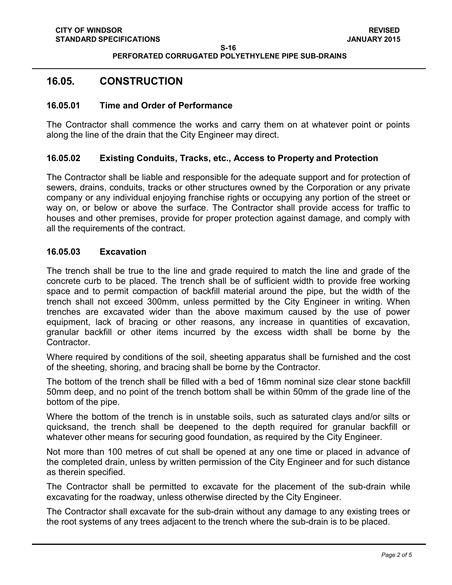**S-16 PERFORATED CORRUGATED POLYETHYLENE PIPE SUB-DRAINS**

### <span id="page-1-0"></span>**16.05. CONSTRUCTION**

#### **16.05.01 Time and Order of Performance**

The Contractor shall commence the works and carry them on at whatever point or points along the line of the drain that the City Engineer may direct.

#### **16.05.02 Existing Conduits, Tracks, etc., Access to Property and Protection**

The Contractor shall be liable and responsible for the adequate support and for protection of sewers, drains, conduits, tracks or other structures owned by the Corporation or any private company or any individual enjoying franchise rights or occupying any portion of the street or way on, or below or above the surface. The Contractor shall provide access for traffic to houses and other premises, provide for proper protection against damage, and comply with all the requirements of the contract.

#### **16.05.03 Excavation**

The trench shall be true to the line and grade required to match the line and grade of the concrete curb to be placed. The trench shall be of sufficient width to provide free working space and to permit compaction of backfill material around the pipe, but the width of the trench shall not exceed 300mm, unless permitted by the City Engineer in writing. When trenches are excavated wider than the above maximum caused by the use of power equipment, lack of bracing or other reasons, any increase in quantities of excavation, granular backfill or other items incurred by the excess width shall be borne by the Contractor.

Where required by conditions of the soil, sheeting apparatus shall be furnished and the cost of the sheeting, shoring, and bracing shall be borne by the Contractor.

The bottom of the trench shall be filled with a bed of 16mm nominal size clear stone backfill 50mm deep, and no point of the trench bottom shall be within 50mm of the grade line of the bottom of the pipe.

Where the bottom of the trench is in unstable soils, such as saturated clays and/or silts or quicksand, the trench shall be deepened to the depth required for granular backfill or whatever other means for securing good foundation, as required by the City Engineer.

Not more than 100 metres of cut shall be opened at any one time or placed in advance of the completed drain, unless by written permission of the City Engineer and for such distance as therein specified.

The Contractor shall be permitted to excavate for the placement of the sub-drain while excavating for the roadway, unless otherwise directed by the City Engineer.

The Contractor shall excavate for the sub-drain without any damage to any existing trees or the root systems of any trees adjacent to the trench where the sub-drain is to be placed.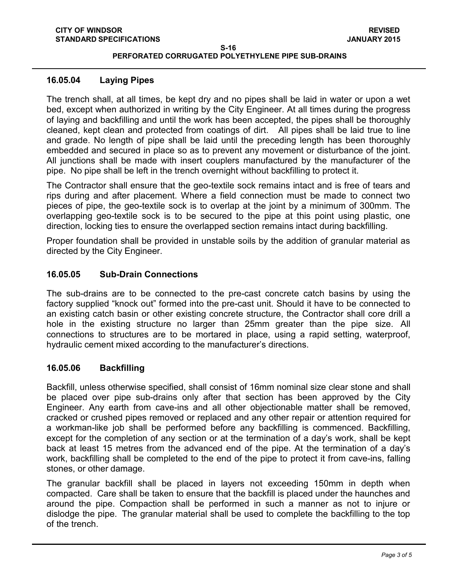#### **PERFORATED CORRUGATED POLYETHYLENE PIPE SUB-DRAINS**

#### **16.05.04 Laying Pipes**

The trench shall, at all times, be kept dry and no pipes shall be laid in water or upon a wet bed, except when authorized in writing by the City Engineer. At all times during the progress of laying and backfilling and until the work has been accepted, the pipes shall be thoroughly cleaned, kept clean and protected from coatings of dirt. All pipes shall be laid true to line and grade. No length of pipe shall be laid until the preceding length has been thoroughly embedded and secured in place so as to prevent any movement or disturbance of the joint. All junctions shall be made with insert couplers manufactured by the manufacturer of the pipe. No pipe shall be left in the trench overnight without backfilling to protect it.

The Contractor shall ensure that the geo-textile sock remains intact and is free of tears and rips during and after placement. Where a field connection must be made to connect two pieces of pipe, the geo-textile sock is to overlap at the joint by a minimum of 300mm. The overlapping geo-textile sock is to be secured to the pipe at this point using plastic, one direction, locking ties to ensure the overlapped section remains intact during backfilling.

Proper foundation shall be provided in unstable soils by the addition of granular material as directed by the City Engineer.

#### **16.05.05 Sub-Drain Connections**

The sub-drains are to be connected to the pre-cast concrete catch basins by using the factory supplied "knock out" formed into the pre-cast unit. Should it have to be connected to an existing catch basin or other existing concrete structure, the Contractor shall core drill a hole in the existing structure no larger than 25mm greater than the pipe size. All connections to structures are to be mortared in place, using a rapid setting, waterproof, hydraulic cement mixed according to the manufacturer's directions.

#### **16.05.06 Backfilling**

Backfill, unless otherwise specified, shall consist of 16mm nominal size clear stone and shall be placed over pipe sub-drains only after that section has been approved by the City Engineer. Any earth from cave-ins and all other objectionable matter shall be removed, cracked or crushed pipes removed or replaced and any other repair or attention required for a workman-like job shall be performed before any backfilling is commenced. Backfilling, except for the completion of any section or at the termination of a day's work, shall be kept back at least 15 metres from the advanced end of the pipe. At the termination of a day's work, backfilling shall be completed to the end of the pipe to protect it from cave-ins, falling stones, or other damage.

The granular backfill shall be placed in layers not exceeding 150mm in depth when compacted. Care shall be taken to ensure that the backfill is placed under the haunches and around the pipe. Compaction shall be performed in such a manner as not to injure or dislodge the pipe. The granular material shall be used to complete the backfilling to the top of the trench.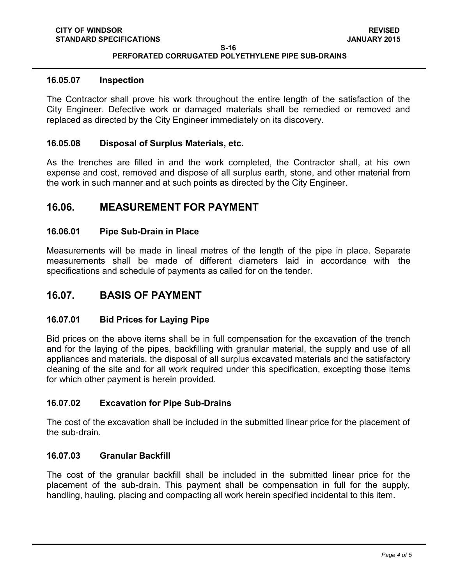**S-16**

#### **PERFORATED CORRUGATED POLYETHYLENE PIPE SUB-DRAINS**

#### **16.05.07 Inspection**

The Contractor shall prove his work throughout the entire length of the satisfaction of the City Engineer. Defective work or damaged materials shall be remedied or removed and replaced as directed by the City Engineer immediately on its discovery.

#### **16.05.08 Disposal of Surplus Materials, etc.**

As the trenches are filled in and the work completed, the Contractor shall, at his own expense and cost, removed and dispose of all surplus earth, stone, and other material from the work in such manner and at such points as directed by the City Engineer.

### <span id="page-3-0"></span>**16.06. MEASUREMENT FOR PAYMENT**

#### **16.06.01 Pipe Sub-Drain in Place**

Measurements will be made in lineal metres of the length of the pipe in place. Separate measurements shall be made of different diameters laid in accordance with the specifications and schedule of payments as called for on the tender.

### <span id="page-3-1"></span>**16.07. BASIS OF PAYMENT**

#### **16.07.01 Bid Prices for Laying Pipe**

Bid prices on the above items shall be in full compensation for the excavation of the trench and for the laying of the pipes, backfilling with granular material, the supply and use of all appliances and materials, the disposal of all surplus excavated materials and the satisfactory cleaning of the site and for all work required under this specification, excepting those items for which other payment is herein provided.

#### **16.07.02 Excavation for Pipe Sub-Drains**

The cost of the excavation shall be included in the submitted linear price for the placement of the sub-drain.

#### **16.07.03 Granular Backfill**

The cost of the granular backfill shall be included in the submitted linear price for the placement of the sub-drain. This payment shall be compensation in full for the supply, handling, hauling, placing and compacting all work herein specified incidental to this item.